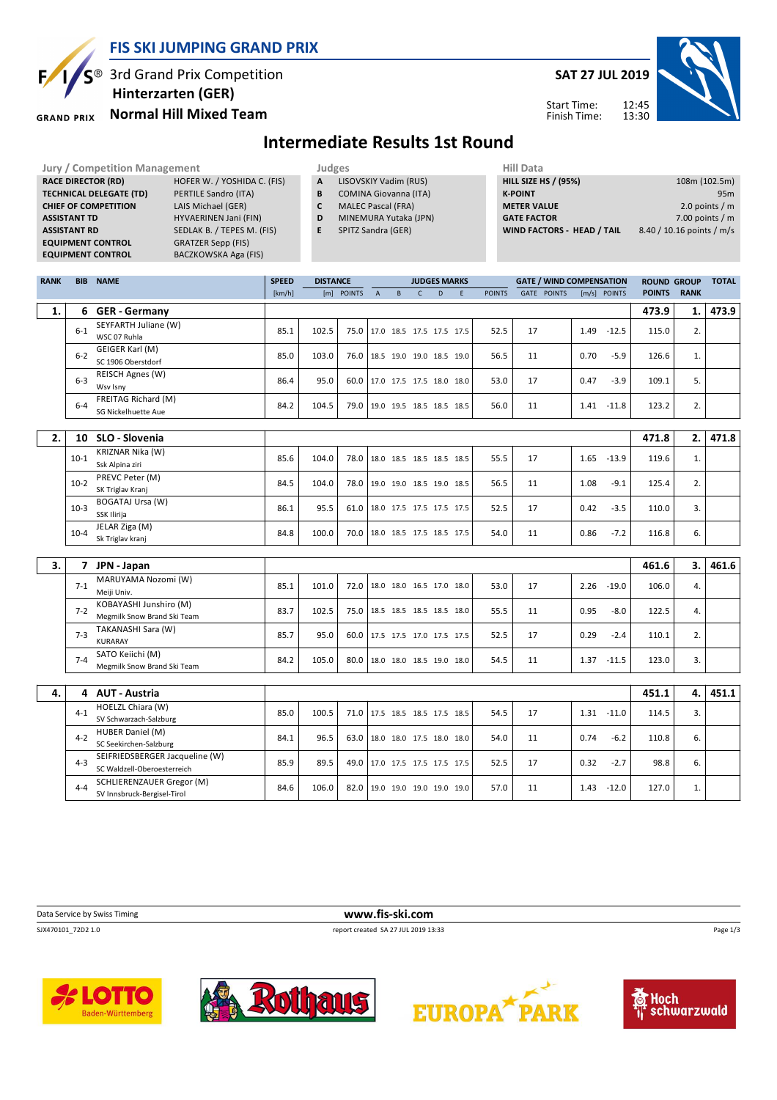

#### **FIS SKI JUMPING GRAND PRIX**

S<sup>®</sup> 3rd Grand Prix Competition  **Hinterzarten (GER)**

#### **Normal Hill Mixed Team GRAND PRIX**

**SAT 27 JUL 2019**



Start Time: Finish Time:

# **Intermediate Results 1st Round**

| <b>Jury / Competition Management</b> |                             |   | Judges                       | <b>Hill Data</b>                  |                           |
|--------------------------------------|-----------------------------|---|------------------------------|-----------------------------------|---------------------------|
| <b>RACE DIRECTOR (RD)</b>            | HOFER W. / YOSHIDA C. (FIS) | A | LISOVSKIY Vadim (RUS)        | <b>HILL SIZE HS / (95%)</b>       | 108m (102.5m)             |
| <b>TECHNICAL DELEGATE (TD)</b>       | PERTILE Sandro (ITA)        | B | <b>COMINA Giovanna (ITA)</b> | <b>K-POINT</b>                    | 95 <sub>m</sub>           |
| <b>CHIEF OF COMPETITION</b>          | LAIS Michael (GER)          | C | <b>MALEC Pascal (FRA)</b>    | <b>METER VALUE</b>                | 2.0 points $/m$           |
| <b>ASSISTANT TD</b>                  | HYVAERINEN Jani (FIN)       | D | MINEMURA Yutaka (JPN)        | <b>GATE FACTOR</b>                | $7.00$ points / m         |
| <b>ASSISTANT RD</b>                  | SEDLAK B. / TEPES M. (FIS)  | Е | SPITZ Sandra (GER)           | <b>WIND FACTORS - HEAD / TAIL</b> | 8.40 / 10.16 points / m/s |
| <b>EQUIPMENT CONTROL</b>             | <b>GRATZER Sepp (FIS)</b>   |   |                              |                                   |                           |
| <b>EQUIPMENT CONTROL</b>             | BACZKOWSKA Aga (FIS)        |   |                              |                                   |                           |

| <b>RANK</b> | <b>BIB</b> | <b>NAME</b>                                              | <b>SPEED</b> | <b>DISTANCE</b> |            |                |                          |              | <b>JUDGES MARKS</b> |   |               | <b>GATE / WIND COMPENSATION</b> |      |               | <b>ROUND GROUP</b> |             | <b>TOTAL</b> |
|-------------|------------|----------------------------------------------------------|--------------|-----------------|------------|----------------|--------------------------|--------------|---------------------|---|---------------|---------------------------------|------|---------------|--------------------|-------------|--------------|
|             |            |                                                          | [km/h]       |                 | [m] POINTS | $\overline{A}$ | $\overline{B}$           | $\mathsf{C}$ | D                   | F | <b>POINTS</b> | GATE POINTS                     |      | [m/s] POINTS  | <b>POINTS</b>      | <b>RANK</b> |              |
| 1.          |            | 6 GER - Germany                                          |              |                 |            |                |                          |              |                     |   |               |                                 |      |               | 473.9              | 1.          | 473.9        |
|             | $6-1$      | SEYFARTH Juliane (W)                                     | 85.1         | 102.5           | 75.0       |                | 17.0 18.5 17.5 17.5 17.5 |              |                     |   | 52.5          | 17                              | 1.49 | $-12.5$       | 115.0              | 2.          |              |
|             |            | WSC 07 Ruhla                                             |              |                 |            |                |                          |              |                     |   |               |                                 |      |               |                    |             |              |
|             | $6 - 2$    | GEIGER Karl (M)                                          | 85.0         | 103.0           | 76.0       |                | 18.5 19.0 19.0 18.5 19.0 |              |                     |   | 56.5          | 11                              | 0.70 | $-5.9$        | 126.6              | 1.          |              |
|             |            | SC 1906 Oberstdorf<br>REISCH Agnes (W)                   |              |                 |            |                |                          |              |                     |   |               |                                 |      |               |                    |             |              |
|             | $6-3$      | Wsv Isny                                                 | 86.4         | 95.0            | 60.0       |                | 17.0 17.5 17.5 18.0 18.0 |              |                     |   | 53.0          | 17                              | 0.47 | $-3.9$        | 109.1              | 5.          |              |
|             |            | FREITAG Richard (M)                                      |              |                 |            |                |                          |              |                     |   |               |                                 |      |               |                    |             |              |
|             | $6 - 4$    | SG Nickelhuette Aue                                      | 84.2         | 104.5           | 79.0       |                | 19.0 19.5 18.5 18.5 18.5 |              |                     |   | 56.0          | 11                              |      | $1.41 - 11.8$ | 123.2              | 2.          |              |
|             |            |                                                          |              |                 |            |                |                          |              |                     |   |               |                                 |      |               |                    |             |              |
| 2.          | 10         | SLO - Slovenia                                           |              |                 |            |                |                          |              |                     |   |               |                                 |      |               | 471.8              | 2.          | 471.8        |
|             | $10-1$     | <b>KRIZNAR Nika (W)</b>                                  | 85.6         | 104.0           | 78.0       |                | 18.0 18.5 18.5 18.5 18.5 |              |                     |   | 55.5          | 17                              | 1.65 | $-13.9$       | 119.6              | 1.          |              |
|             |            | Ssk Alpina ziri                                          |              |                 |            |                |                          |              |                     |   |               |                                 |      |               |                    |             |              |
|             | $10-2$     | PREVC Peter (M)<br>SK Triglav Kranj                      | 84.5         | 104.0           | 78.0       |                | 19.0 19.0 18.5 19.0 18.5 |              |                     |   | 56.5          | 11                              | 1.08 | $-9.1$        | 125.4              | 2.          |              |
|             |            | <b>BOGATAJ Ursa (W)</b>                                  |              |                 |            |                |                          |              |                     |   |               |                                 |      |               |                    |             |              |
|             | $10-3$     | SSK Ilirija                                              | 86.1         | 95.5            | 61.0       |                | 18.0 17.5 17.5 17.5 17.5 |              |                     |   | 52.5          | 17                              | 0.42 | $-3.5$        | 110.0              | 3.          |              |
|             | $10 - 4$   | JELAR Ziga (M)                                           | 84.8         | 100.0           | 70.0       |                | 18.0 18.5 17.5 18.5 17.5 |              |                     |   | 54.0          | 11                              | 0.86 | $-7.2$        | 116.8              | 6.          |              |
|             |            | Sk Triglav kranj                                         |              |                 |            |                |                          |              |                     |   |               |                                 |      |               |                    |             |              |
|             |            |                                                          |              |                 |            |                |                          |              |                     |   |               |                                 |      |               |                    |             |              |
| 3.          |            | 7 JPN - Japan                                            |              |                 |            |                |                          |              |                     |   |               |                                 |      |               | 461.6              | 3.          | 461.6        |
|             | $7-1$      | MARUYAMA Nozomi (W)<br>Meiji Univ.                       | 85.1         | 101.0           | 72.0       |                | 18.0 18.0 16.5 17.0 18.0 |              |                     |   | 53.0          | 17                              | 2.26 | $-19.0$       | 106.0              | 4.          |              |
|             |            | KOBAYASHI Junshiro (M)                                   |              |                 |            |                |                          |              |                     |   |               |                                 |      |               |                    |             |              |
|             | $7-2$      | Megmilk Snow Brand Ski Team                              | 83.7         | 102.5           | 75.0       |                | 18.5 18.5 18.5 18.5 18.0 |              |                     |   | 55.5          | 11                              | 0.95 | $-8.0$        | 122.5              | 4.          |              |
|             | $7-3$      | TAKANASHI Sara (W)                                       | 85.7         | 95.0            | 60.0       |                | 17.5 17.5 17.0 17.5 17.5 |              |                     |   | 52.5          | 17                              | 0.29 | $-2.4$        | 110.1              | 2.          |              |
|             |            | KURARAY                                                  |              |                 |            |                |                          |              |                     |   |               |                                 |      |               |                    |             |              |
|             | $7 - 4$    | SATO Keiichi (M)                                         | 84.2         | 105.0           | 80.0       |                | 18.0 18.0 18.5 19.0 18.0 |              |                     |   | 54.5          | 11                              |      | $1.37 - 11.5$ | 123.0              | 3.          |              |
|             |            | Megmilk Snow Brand Ski Team                              |              |                 |            |                |                          |              |                     |   |               |                                 |      |               |                    |             |              |
| 4.          |            | 4 AUT - Austria                                          |              |                 |            |                |                          |              |                     |   |               |                                 |      |               | 451.1              | 4.          | 451.1        |
|             |            | HOELZL Chiara (W)                                        |              |                 |            |                |                          |              |                     |   |               |                                 |      |               |                    |             |              |
|             | $4 - 1$    | SV Schwarzach-Salzburg                                   | 85.0         | 100.5           | 71.0       |                | 17.5 18.5 18.5 17.5 18.5 |              |                     |   | 54.5          | 17                              |      | $1.31 - 11.0$ | 114.5              | 3.          |              |
|             | $4 - 2$    | HUBER Daniel (M)                                         | 84.1         |                 |            |                |                          |              |                     |   |               | 11                              |      |               |                    |             |              |
|             |            | SC Seekirchen-Salzburg                                   |              | 96.5            | 63.0       |                | 18.0 18.0 17.5 18.0 18.0 |              |                     |   | 54.0          |                                 | 0.74 | $-6.2$        | 110.8              | 6.          |              |
|             | $4 - 3$    | SEIFRIEDSBERGER Jacqueline (W)                           | 85.9         | 89.5            | 49.0       |                | 17.0 17.5 17.5 17.5 17.5 |              |                     |   | 52.5          | 17                              | 0.32 | $-2.7$        | 98.8               | 6.          |              |
|             |            | SC Waldzell-Oberoesterreich                              |              |                 |            |                |                          |              |                     |   |               |                                 |      |               |                    |             |              |
|             | $4 - 4$    | SCHLIERENZAUER Gregor (M)<br>SV Innsbruck-Bergisel-Tirol | 84.6         | 106.0           | 82.0       |                | 19.0 19.0 19.0 19.0 19.0 |              |                     |   | 57.0          | 11                              | 1.43 | $-12.0$       | 127.0              | 1.          |              |
|             |            |                                                          |              |                 |            |                |                          |              |                     |   |               |                                 |      |               |                    |             |              |

SJX470101\_72D2 1.0 report created SA 27 JUL 2019 13:33









Page 1/3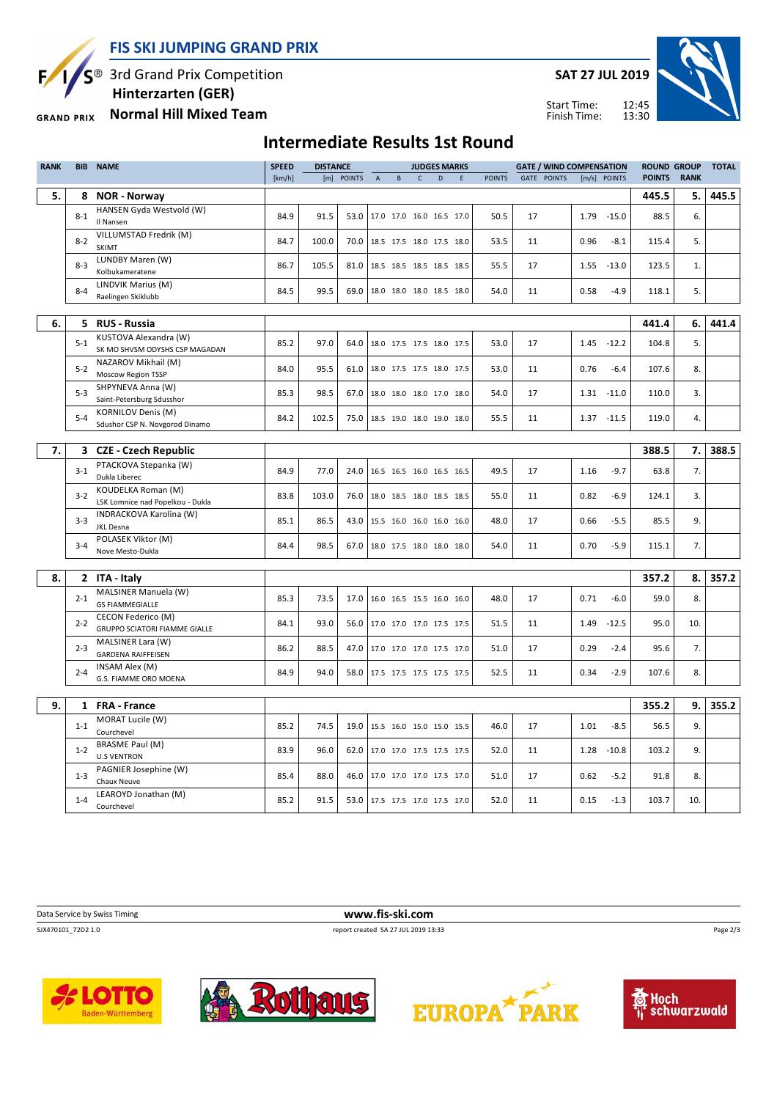S<sup>®</sup> 3rd Grand Prix Competition Ę

**SAT 27 JUL 2019**

Start Time: Finish Time:



 **Hinterzarten (GER) Normal Hill Mixed Team GRAND PRIX** 

## **Intermediate Results 1st Round**

| <b>RANK</b> | <b>BIB</b> | <b>NAME</b>                                                   | <b>SPEED</b> | <b>DISTANCE</b> |            |                                 |        |              | <b>JUDGES MARKS</b>      |   |               | <b>GATE / WIND COMPENSATION</b> |      |               | <b>ROUND GROUP</b> |             | <b>TOTAL</b> |
|-------------|------------|---------------------------------------------------------------|--------------|-----------------|------------|---------------------------------|--------|--------------|--------------------------|---|---------------|---------------------------------|------|---------------|--------------------|-------------|--------------|
|             |            |                                                               | [km/h]       |                 | [m] POINTS | $\mathsf A$                     | $\,$ B | $\mathsf{C}$ | D                        | E | <b>POINTS</b> | <b>GATE POINTS</b>              |      | [m/s] POINTS  | <b>POINTS</b>      | <b>RANK</b> |              |
| 5.          | 8          | <b>NOR - Norway</b>                                           |              |                 |            |                                 |        |              |                          |   |               |                                 |      |               | 445.5              | 5.          | 445.5        |
|             | $8 - 1$    | HANSEN Gyda Westvold (W)                                      | 84.9         | 91.5            | 53.0       |                                 |        |              | 17.0 17.0 16.0 16.5 17.0 |   | 50.5          | 17                              | 1.79 | $-15.0$       | 88.5               | 6.          |              |
|             |            | Il Nansen                                                     |              |                 |            |                                 |        |              |                          |   |               |                                 |      |               |                    |             |              |
|             | $8 - 2$    | VILLUMSTAD Fredrik (M)                                        | 84.7         | 100.0           | 70.0       |                                 |        |              | 18.5 17.5 18.0 17.5 18.0 |   | 53.5          | 11                              | 0.96 | $-8.1$        | 115.4              | 5.          |              |
|             |            | <b>SKIMT</b><br>LUNDBY Maren (W)                              |              |                 |            |                                 |        |              |                          |   |               |                                 |      |               |                    |             |              |
|             | $8 - 3$    | Kolbukameratene                                               | 86.7         | 105.5           | 81.0       |                                 |        |              | 18.5 18.5 18.5 18.5 18.5 |   | 55.5          | 17                              | 1.55 | $-13.0$       | 123.5              | 1.          |              |
|             |            | LINDVIK Marius (M)                                            |              |                 |            |                                 |        |              |                          |   |               |                                 |      |               |                    |             |              |
|             | $8 - 4$    | Raelingen Skiklubb                                            | 84.5         | 99.5            | 69.0       |                                 |        |              | 18.0 18.0 18.0 18.5 18.0 |   | 54.0          | 11                              | 0.58 | $-4.9$        | 118.1              | 5.          |              |
|             |            |                                                               |              |                 |            |                                 |        |              |                          |   |               |                                 |      |               |                    |             |              |
| 6.          |            | 5 RUS - Russia                                                |              |                 |            |                                 |        |              |                          |   |               |                                 |      |               | 441.4              | 6.          | 441.4        |
|             | $5 - 1$    | KUSTOVA Alexandra (W)<br>SK MO SHVSM ODYSHS CSP MAGADAN       | 85.2         | 97.0            | 64.0       |                                 |        |              | 18.0 17.5 17.5 18.0 17.5 |   | 53.0          | 17                              |      | $1.45 - 12.2$ | 104.8              | 5.          |              |
|             | $5 - 2$    | NAZAROV Mikhail (M)                                           | 84.0         | 95.5            | 61.0       |                                 |        |              | 18.0 17.5 17.5 18.0 17.5 |   | 53.0          | 11                              | 0.76 | $-6.4$        | 107.6              | 8.          |              |
|             |            | Moscow Region TSSP                                            |              |                 |            |                                 |        |              |                          |   |               |                                 |      |               |                    |             |              |
|             | $5-3$      | SHPYNEVA Anna (W)                                             | 85.3         | 98.5            | 67.0       |                                 |        |              | 18.0 18.0 18.0 17.0 18.0 |   | 54.0          | 17                              | 1.31 | $-11.0$       | 110.0              | 3.          |              |
|             |            | Saint-Petersburg Sdusshor<br><b>KORNILOV Denis (M)</b>        |              |                 |            |                                 |        |              |                          |   |               |                                 |      |               |                    |             |              |
|             | $5 - 4$    | Sdushor CSP N. Novgorod Dinamo                                | 84.2         | 102.5           | 75.0       |                                 |        |              | 18.5 19.0 18.0 19.0 18.0 |   | 55.5          | 11                              |      | $1.37 - 11.5$ | 119.0              | 4.          |              |
|             |            |                                                               |              |                 |            |                                 |        |              |                          |   |               |                                 |      |               |                    |             |              |
| 7.          | 3          | <b>CZE - Czech Republic</b>                                   |              |                 |            |                                 |        |              |                          |   |               |                                 |      |               | 388.5              | 7.          | 388.5        |
|             | $3 - 1$    | PTACKOVA Stepanka (W)                                         | 84.9         | 77.0            | 24.0       |                                 |        |              | 16.5 16.5 16.0 16.5 16.5 |   | 49.5          | 17                              | 1.16 | $-9.7$        | 63.8               | 7.          |              |
|             |            | Dukla Liberec                                                 |              |                 |            |                                 |        |              |                          |   |               |                                 |      |               |                    |             |              |
|             | $3 - 2$    | <b>KOUDELKA Roman (M)</b><br>LSK Lomnice nad Popelkou - Dukla | 83.8         | 103.0           | 76.0       |                                 |        |              | 18.0 18.5 18.0 18.5 18.5 |   | 55.0          | 11                              | 0.82 | $-6.9$        | 124.1              | 3.          |              |
|             |            | INDRACKOVA Karolina (W)                                       |              |                 |            |                                 |        |              |                          |   |               |                                 |      |               |                    |             |              |
|             | $3-3$      | <b>JKL Desna</b>                                              | 85.1         | 86.5            | 43.0       |                                 |        |              | 15.5 16.0 16.0 16.0 16.0 |   | 48.0          | 17                              | 0.66 | $-5.5$        | 85.5               | 9.          |              |
|             | $3 - 4$    | POLASEK Viktor (M)                                            | 84.4         | 98.5            | 67.0       |                                 |        |              | 18.0 17.5 18.0 18.0 18.0 |   | 54.0          | 11                              | 0.70 | $-5.9$        | 115.1              | 7.          |              |
|             |            | Nove Mesto-Dukla                                              |              |                 |            |                                 |        |              |                          |   |               |                                 |      |               |                    |             |              |
|             |            |                                                               |              |                 |            |                                 |        |              |                          |   |               |                                 |      |               |                    |             |              |
| 8.          |            | 2 ITA - Italy                                                 |              |                 |            |                                 |        |              |                          |   |               |                                 |      |               | 357.2              | 8.          | 357.2        |
|             | $2 - 1$    | MALSINER Manuela (W)<br><b>GS FIAMMEGIALLE</b>                | 85.3         | 73.5            | 17.0       |                                 |        |              | 16.0 16.5 15.5 16.0 16.0 |   | 48.0          | 17                              | 0.71 | $-6.0$        | 59.0               | 8.          |              |
|             |            | CECON Federico (M)                                            |              |                 |            |                                 |        |              |                          |   |               |                                 |      |               |                    |             |              |
|             | $2 - 2$    | <b>GRUPPO SCIATORI FIAMME GIALLE</b>                          | 84.1         | 93.0            | 56.0       |                                 |        |              | 17.0 17.0 17.0 17.5 17.5 |   | 51.5          | 11                              | 1.49 | $-12.5$       | 95.0               | 10.         |              |
|             | $2 - 3$    | MALSINER Lara (W)                                             | 86.2         | 88.5            | 47.0       |                                 |        |              | 17.0 17.0 17.0 17.5 17.0 |   | 51.0          | 17                              | 0.29 | $-2.4$        | 95.6               | 7.          |              |
|             |            | <b>GARDENA RAIFFEISEN</b>                                     |              |                 |            |                                 |        |              |                          |   |               |                                 |      |               |                    |             |              |
|             | $2 - 4$    | INSAM Alex (M)<br>G.S. FIAMME ORO MOENA                       | 84.9         | 94.0            | 58.0       |                                 |        |              | 17.5 17.5 17.5 17.5 17.5 |   | 52.5          | 11                              | 0.34 | $-2.9$        | 107.6              | 8.          |              |
|             |            |                                                               |              |                 |            |                                 |        |              |                          |   |               |                                 |      |               |                    |             |              |
| 9.          | 1          | <b>FRA - France</b>                                           |              |                 |            |                                 |        |              |                          |   |               |                                 |      |               | 355.2              | 9.          | 355.2        |
|             |            | MORAT Lucile (W)                                              |              |                 |            |                                 |        |              |                          |   |               |                                 |      |               |                    |             |              |
|             | $1 - 1$    | Courchevel                                                    | 85.2         | 74.5            | 19.0       |                                 |        |              | 15.5 16.0 15.0 15.0 15.5 |   | 46.0          | 17                              | 1.01 | $-8.5$        | 56.5               | 9.          |              |
|             | $1 - 2$    | <b>BRASME Paul (M)</b>                                        | 83.9         | 96.0            | 62.0       |                                 |        |              | 17.0 17.0 17.5 17.5 17.5 |   | 52.0          | 11                              | 1.28 | $-10.8$       | 103.2              | 9.          |              |
|             |            | <b>U.S VENTRON</b>                                            |              |                 |            |                                 |        |              |                          |   |               |                                 |      |               |                    |             |              |
|             | $1-3$      | PAGNIER Josephine (W)<br>Chaux Neuve                          | 85.4         | 88.0            | 46.0       |                                 |        |              | 17.0 17.0 17.0 17.5 17.0 |   | 51.0          | 17                              | 0.62 | $-5.2$        | 91.8               | 8.          |              |
|             |            | LEAROYD Jonathan (M)                                          |              |                 |            |                                 |        |              |                          |   |               |                                 |      |               |                    |             |              |
|             | $1 - 4$    | Courchevel                                                    | 85.2         | 91.5            |            | 53.0   17.5 17.5 17.0 17.5 17.0 |        |              |                          |   | 52.0          | 11                              | 0.15 | $-1.3$        | 103.7              | 10.         |              |

SJX470101\_72D2 1.0 report created SA 27 JUL 2019 13:33









Page 2/3